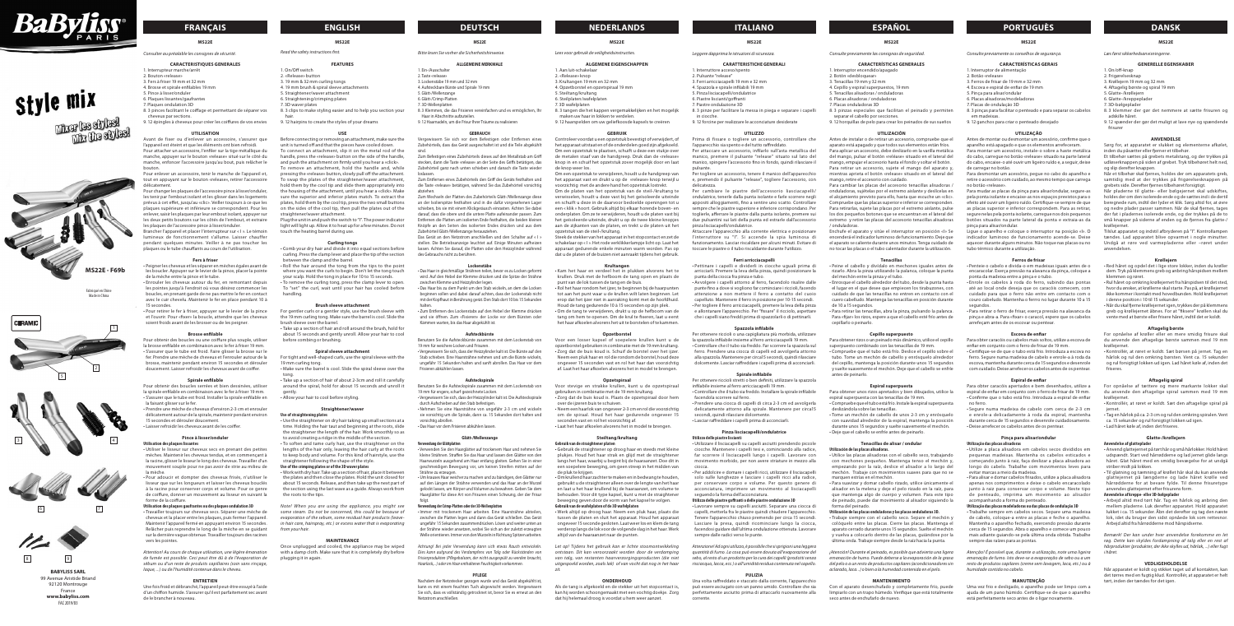

# Style mix

**Mich les styles! The the ablest** 

# **FRANÇAIS ENGLISH DEUTSCH NEDERLANDS ITALIANO ESPAÑOL PORTUGUÈS DANSK**

**CARACTERISTIQUES GENERALES** rrupteur marche/arrêt

# **MS22E**

*Consulter au préalable les consignes de sécurité.* 

- 2. Bouton «release»
- 3. Fers à friser 19 mm et 32 mm
- 4. Brosse et spirale enfilables 19 mm 5. Pince à lisser/onduler
- 6. Plaques lissantes/gaufrantes
- 7. Plaques ondulation 3D
- 8. 3 pinces facilitant le coiffage et permettant de séparer vos
- cheveux par sections. 9. 12 épingles à cheveux pour créer les coiffures de vos envies

# **UTILISATION**

Avant de fixer ou d'enlever un accessoire, s'assurer que l'appareil est éteint et que les éléments ont bien refroidi. Pour attacher un accessoire, l'enfiler sur la tige métallique du manche, appuyer sur le bouton «release» situé sur le côté du manche, enfoncer l'accessoire jusqu'au bout, puis relâcher le bouton.

Pour enlever un accessoire, tenir le manche de l'appareil et, tout en appuyant sur le bouton «release», retirer l'accessoire délicatement.

Pour changer les plaques de l'accessoire pince à lisser/onduler, les tenir par l'embout isolant et les glisser dans les logements prévus à cet effet, jusqu'au «clic». Veiller toujours à ce que les plaques supérieure et inférieure se correspondent. Pour les enlever, saisir les plaques par leur embout isolant, appuyer sur les deux petits boutons sur les côtés de l'embout, et extraire les plaques de l'accessoire pince à lisser/onduler.

Brancher l'appareil et placer l'interrupteur sur « I ». Le témoin lumineux de fonctionnement s'allume. Laisser chauffer pendant quelques minutes. Veiller à ne pas toucher les plaques ou le tube chauffants au cours de l'utilisation.

# **Fers à friser**

• Peigner les cheveux et les séparer en mèches égales avant de les boucler. Appuyer sur le levier de la pince, placer la pointe de la mèche entre la pince et le tube.

• Enrouler les cheveux autour du fer, en remontant depuis les pointes jusqu'à l'endroit où vous désirez commencer les boucles, en prenant garde de ne pas mettre le fer en contact avec le cuir chevelu. Maintenir le fer en place pendant 10 à 15 secondes.

• Pour retirer le fer à friser, appuyer sur le levier de la pince et l'ouvrir. Pour «fixer» la boucle, attendre que les cheveux soient froids avant de les brosser ou de les peigner.

# **Brosse enfilable**

Pour obtenir des boucles ou une coiffure plus souple, utiliser la brosse enfilable en combinaison avec le fer à friser 19 mm • S'assurer que le tube est froid. Faire glisser la brosse sur le fer. Prendre une mèche de cheveux et l'enrouler autour de la brosse, maintenir pendant environ 15 secondes et dérouler doucement. Laisser refroidir les cheveux avant de coiffer.

#### **Spirale enfilable**

Pour obtenir des boucles serrées et bien dessinées, utiliser la spirale enfilable en combinaison avec le fer à friser 19 mm. • S'assurer que le tube est froid. Installer la spirale enfilable en la faisant glisser sur le fer. • Prendre une mèche de cheveux d'environ 2-3 cm et enrouler

Das Gerät an den Netzstrom anschließen und den Schalter auf « I » stellen. Die Betriebsanzeige leuchtet auf. Einige Minuten aufheizen lassen. Achten Sie darauf, die Platten oder den Heizzylinder während es Gebrauchs nicht zu berühren.

délicatement autour de la spirale, maintenir pendant environ 15 secondes et dérouler doucement.

• Laisser refroidir les cheveux avant de les coiffer.

# **Pince à lisser/onduler**

**Utilisation des plaques lissantes** • Utiliser le lisseur sur cheveux secs en prenant des petites mèches. Maintenir les cheveux tendus, et en commençant à la racine, glisser le lisseur le long des cheveux. Travailler d'un ment souple pour ne pas avoir de strie au milieu de la mèche.

• Pour adoucir et dompter des cheveux frisés, n'utiliser le lisseur que sur les longueurs et laisser les cheveux bouclés à la racine pour conserver corps et volume. Pour ce genre de coiffure, donner un mouvement au lisseur en suivant la forme de la coiffure.

# **Utilisation des plaques gaufrantes ou des plaques ondulation 3D**

• Verwenden Sie den Haarglätter auf trockenem Haar und nehmen Sie kleine Strähnen. Straffen Sie das Haar und lassen den Glätter von den Haarwurzeln ausgehend am Haar entlang gleiten. Gehen Sie in einer chmeidigen Bewegung vor, um keinen Streifen mitten auf der

• Travailler toujours sur cheveux secs. Séparer une mèche de cheveux et la placer entre les plaques, puis fermer l'appareil. Maintenir l'appareil fermé en appuyant environ 15 secondes. Relâcher puis reprendre le long de la mèche en se guidant sur la dernière vague obtenue. Travailler toujours des racines vers les pointes.

*Attention! Au cours de chaque utilisation, une légère émanation de fumée est possible. Ceci peut être dû à de l'évaporation de sébum ou d'un reste de produits capillaires (soin sans rinçage, laque, ...) ou de l'humidité contenue dans le cheveu.*

# **ENTRETIEN**

Une fois froid et débranché, l'appareil peut-être essuyé à l'aide d'un chiffon humide. S'assurer qu'il est parfaitement sec avant de le brancher à nouveau.

# **MS22E**

*Bitte lesen Sie vorher die Sicherheitshinweise.*

### **ALLGEMEINE MERKMALE** 1. Ein-/Ausschalter

- 2. Taste «release»
- 3. Lockenstäbe 19 mm und 32 mm 4. Aufsteckbare Bürste und Spirale 19 mm
- 5. Glätt-/Wellenzange
- 6. Glätt-/Crimp-Platten 7. 3D-Wellenplatten
- 
- 8. 3 Klemmen, die das Frisieren vereinfachen und es ermöglichen, Ihr Haar in Abschnitte aufzuteilen.
- 9. 12 Haarnadeln, um die Frisur Ihrer Träume zu realisieren

#### **GEBRAUCH**

Vergewissern Sie sich vor dem Befestigen oder Entfernen eines Zubehörteils, dass das Gerät ausgeschaltet ist und die Teile abgekühlt

sind. Zum Befestigen eines Zubehörteils dieses auf den Metallstab am Griff stecken, dann die Taste «release» an der Seite des Griffs betätigen, das Zubehörteil ganz nach unten schieben und danach die Taste wieder loslassen.

Zum Entfernen eines Zubehörteils den Griff des Geräts festhalten und die Taste «release» betätigen, während Sie das Zubehörteil vorsichtig abziehen.

Zum Wechseln der Platten des Zubehörteils Glätt-/Wellenzange diese an der Isolierspitze festhalten und in die dafür vorgesehenen Lager schieben, bis sie mit einem Klickgeräusch einrasten. Achten Sie dabei darauf, dass die obere und die untere Platte aufeinander passen. Zum Entfernen die Platten am isolierten Ende festhalten, die beiden kleinen Knöpfe an den Seiten des isolierten Endes drücken und aus dem Zubehörteil Glätt-/Wellenzange herausziehen.

#### **Lockenstäbe** • Das Haar in gleichmäßige Strähnen teilen, bevor es zu Locken geformt

wird. Auf den Hebel der Klemme drücken und die Spitze der Strähne

zwischen Klemme und Heizzylinder legen.

• Das Haar bis zu dem Punkt um den Stab wickeln, an dem die Locken beginnen sollen und dabei darauf achten, dass der Lockenstab nicht mit der Kopfhaut in Berührung gerät. Den Stab dort 10 bis 15 Sekunden

halten.

• Zum Entfernen des Lockenstabs auf den Hebel der Klemme drücken und sie öffnen. Zum «Fixieren» der Locke vor dem Bürsten oder

Kämmen warten, bis das Haar abgekühlt ist.

**Aufsteckbürste** Benutzen Sie die Aufsteckbürste zusammen mit dem Lockenstab von

19 mm für weichere Locken und Frisuren.

• Vergewissern Sie sich, dass der Heizzylinder kalt ist. Die Bürste auf den Stab schieben. Eine Haarsträhne nehmen und um die Bürste wickeln, ungefähr 15 Sekunden halten und sanft abrollen. Das Haar vor dem

Frisieren abkühlen lassen.

**Aufsteckspirale** Benutzen Sie die Aufsteckspirale zusammen mit dem Lockenstab von

Antes de montar ou desmontar um acessório, confirme que o aparelho está apagado e que os elementos arrefeceram. Para montar um acessório, instale-o sobre a haste metálica do cabo, carregue no botão «release» situado na parte lateral do cabo, encaixe-o até ouvir um ligeiro ruído e, a seguir, deixe de carregar no botão.

19 mm für engere, scharf gezeichnete Locken.

• Vergewissern Sie sich, dass der Heizzylinder kalt ist. Die Aufsteckspirale

durch Aufschieben auf den Stab befestigen.

• Nehmen Sie eine Haarsträhne von ungefähr 2-3 cm und wickeln sie vorsichtig um die Spirale, dann ca. 15 Sekunden dort halten und Para mudar as placas da pinça para alisar/ondular, segure-as pela ponta isolante e encaixe-as nos espaços previstos para o efeito até ouvir um ligeiro ruído. Certifique-se sempre de que as placas superior e inferior correspondem. Para as retirar, segure nelas pela ponta isolante, carregue nos dois pequenos botões situados na parte lateral da ponta e extraia-as da pinça para alisar/ondular.

vorsichtig abrollen.

• Das Haar vor dem Frisieren abkühlen lassen.

**Glätt-/Wellenzange**

**Verwendung der Glättplatten**

Strähne zu erzeugen.

Para obter caracóis ou cabelos mais soltos, utilize a escova de enfiar em conjunto com o ferro de frisar de 19 mm.

• Um krauses Haar weicher zu machen und zu bändigen, den Glätter nur auf den Längen der Strähne verwenden und das Haar an der Wurzel gelockt lassen, um Körper und Volumen zu bewahren. Geben Sie dem Haarglätter für diese Art von Frisuren einen Schwung, der der Frisur

folgt. **Verwendung der Crimp-Platten oder der 3D-Wellenplatten**

pequenas madeixas. Mantenha os cabelos esticados e começando junto à raiz, faça deslizar a placa alisadora ao ongo do cabelo. Trabalhe com movimentos leves para

• Immer mit trockenem Haar arbeiten. Eine Haarsträhne abteilen, zwischen die Platten legen und dann das Gerät schließen. Das Gerät ungefähr 15 Sekunden zusammendrücken. Lösen und weiter unten an der Strähne wieder ansetzen, wobei Sie sich an der zuletzt erzeugten Welle orientieren. Immer von den Wurzeln in Richtung Spitzen arbeiten. *Achtung! Bei jeder Verwendung kann sich etwas Rauch entwickeln. Dies kann aufgrund des Verdampfens von Talg oder Rückständen von Frisierprodukten (Pflegebalsam, der nicht ausgespült zu werden braucht, Haarlack,...) oder im Haar enthaltener Feuchtigkeit vorkommen.* **PFLEGE** Nachdem der Netzstecker gezogen wurde und das Gerät abgekühlt ist, kann es mit einem feuchten Tuch abgewischt werden. Vergewissern Sie sich, dass es vollständig getrocknet ist, bevor Sie es erneut an den

Netzstrom anschließen.

# **MS22E**

*Leggere dapprima le istruzioni di sicurezza.*

# **CARATTERISTICHE GENERALI**

- 1. Interruttore acceso/spento 2. Pulsante "release"
- 3. Ferri arricciacapelli 19 mm e 32 mm
- 4. Spazzola e spirale infilabili 19 mm
- 5. Pinza lisciacapelli/ondulatrice
- 6. Piastre liscianti/goffranti

7. Piastre ondulazione 3D 8. 3 pinze per facilitare la messa in piega e separare i capelli

- in ciocche. 9. 12 forcine per realizzare le acconciature desiderate
- 

# **UTILIZZO**

Plug the unit in and push the switch to "I". The power indicator light will light up. Allow it to heat up for a few minutes. Do not touch the heating barrel during use.

• Roll the hair around the tong from the tips to the point where you want the curls to begin. Don't let the tong touch your scalp. Hold the tong in place for 10 to 15 seconds.

pulsante.

Per togliere un accessorio, tenere il manico dell'apparecchio e, premendo il pulsante "release", togliere l'accessorio, con delicatezza.

Per cambiare le piastre dell'accessorio liasciacapelli/ ondulatrice, tenerle dalla punta isolante e farle scorrere negli appositi alloggiamenti, fino a sentire uno scatto. Controllare sempre che le piastre superiore e inferiore corrispondano. Per toglierle, afferrare le piastre dalla punta isolante, premere sui due pulsantini sui lati della punta ed estrarle dall'accessorio pinza lisciacapelli/ondulatrice.

Attaccare l'apparecchio alla corrente elettrica e posizionare l'interruttore su "I". Si accende la spia luminosa di funzionamento. Lasciar riscaldare per alcuni minuti. Evitare di toccare le piastre o il tubo riscaldante durante l'utilizzo.

# **Ferri arricciacapelli**

• Pettinare i capelli e dividerli in ciocche uguali prima di arricciarli. Premere la leva della pinza, quindi posizionare la punta della ciocca fra pinza e tubo.

• Avvolgere i capelli attorno al ferro, facendolo risalire dalle punte fino a dove si vogliono far cominciare i riccioli, facendo attenzione a non mettere il ferro a contatto del cuoio capelluto. Mantenere il ferro in posizione per 10-15 secondi. • Per togliere il ferro arricciacapelli, premere la leva della pinza e allontanare l'apparecchio. Per "fissare" il ricciolo, aspettare che i capelli siano freddi prima di spazzolarli o di pettinarli.

en uw haar in lokken te verdelen 9. 12 haarspelden om uw geliefkoosde kapsels te creëren **GEBRUIK** Controleer voordat u een opzetstuk bevestigt of verwijdert, of het apparaat uitstaat en of de onderdelen goed zijn afgekoeld. Om een opzetstuk te plaatsen, schuift u deze een stukje over de metalen staaf van de handgreep. Druk dan de «release»

#### **Spazzola infilabile** Per ottenere riccioli o una capigliatura più morbida, utilizzare

la spazzola infilabile insieme al ferro arricciacapelli 19 mm. rollare che il tubo sia freddo. Far scorrere la spazzola sul ferro. Prendere una ciocca di capelli ed avvolgerla attorno alla spazzola. Mantenere per circa15 secondi, quindi rilasciare dolcemente. Lasciar raffreddare i capelli prima di acconciarli.

# **Spirale infilabile**

Per ottenere riccioli stretti o ben definiti, utilizzare la spazzola infilabile insieme al ferro arricciacapelli 19 mm.

• Controllare che il tubo sia freddo. Installare la spirale infilabile facendola scorrere sul ferro. • Prendere una ciocca di capelli di circa 2-3 cm ed avvolgerla

delicatamente attorno alla spirale. Mantenere per circa15 secondi, quindi rilasciare dolcemente.

• Lasciar raffreddare i capelli prima di acconciarli.

# **Pinza lisciacapelli/ondulatrice Utilizzo delle piastre liscianti**

• Utilizzare il lisciacapelli su capelli asciutti prendendo piccole ciocche. Mantenere i capelli tesi e, cominciando alla radice, far scorrere il lisciacapelli lungo i capelli. Lavorare con movimento morbido, per non avere striature in mezzo alla ciocca. • Per addolcire e domare i capelli ricci, utilizzare il lisciacapelli

• Gebruik de straightener op droog haar en steeds met kleine plukjes. Houd het haar strak en glijd met de straightener langs het haar, waarbij u begint bij de haaraanzet. Doe dit in belere beweging, om geen streep in het midden van

> solo sulle lunghezze e lasciare i capelli ricci alla radice, per conservare corpo e volume. Per questo genere di acconciatura, imprimere un movimento al lisciacapelli seguendo la forma dell'acconciatura. **Utilizzo delle piastre goffranti o delle piastre ondulazione 3D**

# • Lavorare sempre su capelli asciutti. Separare una ciocca di

capelli, metterla fra le piastre quindi chiudere l'apparecchio. Tenere l'apparecchio chiuso premendo per circa 15 secondi. Lasciare la presa, quindi ricominciare lungo la ciocca, facendosi guidare dall'ultima ondulazione ottenuta. Lavorare sempre dalle radici verso le punte.

# **PULIZIA**

# **MS22E**

*Consulte previamente os conselhos de segurança.*

# **CARACTERÍSTICAS GERAIS**

- 1. Interruptor de alimentação 2. Botão «release»
- 3. Ferros de frisar de 19 mm e 32 mm
- 4. Escova e espiral de enfiar de 19 mm
- 5. Pinça para alisar/ondular
- 6. Placas alisadoras/modeladoras 7. Placas de ondulação 3D
- 8. 3 pinças para facilitar o penteado e para separar os cabelos
- 
- em madeixas. 9. 12 ganchos para criar o penteado desejado

# **UTILIZAÇÃO**

Para desmontar um acessório, pegue no cabo do aparelho e retire o acessório com cuidado, ao mesmo tempo que carrega no botão «release».

Ligue o aparelho e coloque o interruptor na posição «I». O indicador luminoso de funcionamento acende-se. Deixe aquecer durante alguns minutos. Não toque nas placas ou no tubo térmico durante a utilização.

# **Ferros de frisar**

• Penteie o cabelo e divida-o em madeixas iguais antes de o encaracolar. Exerça pressão na alavanca da pinça, coloque a ponta da madeixa entre a pinça e o tubo.

• Enrole os cabelos à roda do ferro, subindo das pontas até ao local onde deseja que os caracóis comecem, com cuidado para que o ferro não entre em contacto com o couro cabeludo. Mantenha o ferrro no lugar durante 10 a 15 segundos.

• Para retirar o ferro de frisar, exerça pressão na alavanca da pinça e abra-a. Para «fixar» o caracol, espere que os cabelos arrefeçam antes de os escovar ou pentear.

#### **Escova de enfiar**

Når et tilbehør skal fjernes, holdes der om apparatets greb samtidig med at der trykkes på frigørelsesknappen på grebets side. Derefter fjernes tilbehøret forsigtigt. Når pladerne til glatte- eller bølgejernet skal udskiftes, holdes der om den isolerede ende og de sættes ind i de dertil beregnede rum, indtil der lyder et klik. Sørg altid for, at øvre og nedre plader passer sammen. Når de skal fjernes, tages der fat i pladernes isolerede ende, og der trykkes på de to små knapper på siderne af enden og de fjernes fra glatte-/

• Certifique-se de que o tubo está frio. Introduza a escova no ferro. Segure numa madeixa de cabelo e enrole-a à roda da escova, mantenha durante cerca de 15 segundos e desenrole com cuidado. Deixe arrefecer os cabelos antes de os pentear.

Prima di fissare o togliere un accessorio, controllare che l'apparecchio sia spento e del tutto raffreddato. Per attaccare un accessorio, infilarlo sull'asta metallica del manico, premere il pulsante "release" situato sul lato del manico, spingere l'accessorio fino in fondo, quindi rilasciare il knop in en schuif het opzetstuk zover mogelijk door en laat

> Tilslut apparatet og indstil afbryderen på "I". Kontrollamper tændes. Lad apparatet blive opvarmet i nogle minutter. Undgå at røre ved varmepladerne eller –røret under

#### **Espiral de enfiar**

Para obter caracóis apertados e bem desenhados, utilize a espiral de enfiar em conjunto com o ferro de frisar de 19 mm. • Confirme que o tubo está frio. Introduza a espiral de enfiar no ferro.

• Segure numa madeixa de cabelo com cerca de 2-3 cm e enrole-a delicadamente à roda da espiral, mantenha durante cerca de 15 segundos e desenrole cuidadosamente. • Deixe arrefecer os cabelos antes de os pentear.

• Når du skal fjerne krøllejernet igen, trykkes der på klemmen: greb og krøllejernet åbnes. For at "fiksere" krøllen skal du vente med at børste eller frisere håret, indtil det er koldt. **Aftagelig børste** For opnåelse af krøller eller en mere smidig frisure skal du anvende den aftagelige børste sammen med 19 mm krøllejernet. • Kontrollér, at røret er koldt. Sæt børsen på jernet. Tag en hårlok og rul den omkring børsten. Vent ca. 15 sekunder og rul forsigtigt lokken ud igen. Lad håret køle af, inden det

# **Pinça para alisar/ondular Utilização das placas alisadoras** • Utilize a placa alisadora em cabelos secos divididos em

• Anvend glattejernet på tørt hår og små hårlokker. Hold håre udspændt. Start ved hårrødderne og lad jernet glide langs håret. Glat håret med en smidig bevægelse for at undgå

evitar marcas a meio da madeixa.

• Para alisar e domar cabelos frisados, utilize a placa alisadora apenas nos comprimentos e deixe o cabelo encaracolado junto à raiz para conservar corpo e volume. Neste tipo de penteado, imprima um movimento ao alisador

acompanhando a forma do penteado.

Fabriqué en Chine Made in Chin

> **Utilização das placas modeladoras ou das placas de ondulação 3D** • Trabalhe sempre em cabelos secos. Separe uma madeixa de cabelo, coloque-a entre as placas e feche o aparelho. Mantenha o aparelho fechado, exercendo pressão durante cerca de 15 segundos. Abra o aparelho e comece um pouco mais adiante guiando-se pela última onda obtida. Trabalhe

sempre das raízes para as pontas.

*Atenção! É possível que, durante a utilização, note uma ligeira emanação de fumo. Isto deve-se a evaporação de sebo ou a um resto de produtos capilares (creme sem lavagem, laca, etc.) ou à* 

*humidade contida no cabelo.* 

**MANUTENÇÃO** Uma vez frio e desligado, o aparelho pode ser limpo com a ajuda de um pano húmido. Certifique-se de que o aparelho está perfeitamente seco antes de o ligar novamente.

# **MS22E**

*Read the safety instructions first.*

# **FEATURES** 1. On/Off switch

- 2. «Release» button
- 3. 19 mm & 32 mm curling tongs
- 4. 19 mm brush & spiral sleeve attachments
- 5. Straightener/waver attachment 6. Straightening/crimping plates
- 7. 3D waver plates
- 8. 3 clips to make styling easier and to help you section your
- hair. 9. 12 hairpins to create the styles of your dreams

# **USE**

Before connecting or removing an attachment, make sure the unit is turned off and that the pieces have cooled down. To connect an attachment, slip it on the metal rod of the handle, press the «release» button on the side of the handle, and push the attachment on firmly until you hear a «click». To remove an attachment, hold the handle and, while pressing the «release» button, slowly pull off the attachment. To swap the plates of the straightener/waver attachment, hold them by the cool tip and slide them appropriately int the housing of the attachment, until you hear a «click». Make sure the superior and inferior plates match. To extract the plates, hold them by the cool tip, press the two small buttons on the sides of the cool tip, then pull the plates out of the straightener/waver attachment.

# **Curling tongs**

• Comb your dry hair and divide it into equal sections before curling. Press the clamp lever and place the tip of the section between the clamp and the barrel.

> *Attenzione! Ad ogni utilizzo, è possibile che si sprigioni una leggera quantità di fumo. La cosa può essere dovuta all'evaporazione del sebo, al resto di un prodotto per la cura dei capelli (prodotti senza risciacquo, lacca, ecc.) o all'umidità residua contenuta nel capello. Let op! Tijdens het gebruik kan er lichte stoomontwikkeling ontstaan. Dit kan veroorzaakt worden door de verdamping van talg, van restanten haarverzorgingsproducten (die niet uitgespoeld worden, zoals lak) of van vocht dat nog in het haar*

• To remove the curling tong, press the clamp lever to open. To "set" the curl, wait until your hair has cooled before handling.

> Una volta raffreddato e staccato dalla corrente, l'apparecchio può essere asciugato con un panno umido. Controllare che sia perfettamente asciutto prima di attaccarlo nuovamente alla corrente. Als de tang is afgekoeld en de stekker uit het stopcontact is, kan hij worden schoongemaakt met een vochtig doekje. Zorg

### **Brush sleeve attachment**

For gentler curls or a gentler style, use the brush sleeve with the 19 mm curling tong. Make sure the barrel is cool. Slide the brush sleeve over the barrel.

• Take up a section of hair and roll around the brush, hold for about 15 seconds and gently unroll. Allow your hair to cool before combing or brushing.

#### **Spiral sleeve attachment**

For tight and well-shaped curls, use the spiral sleeve with the 19 mm curling tong.

• Make sure the barrel is cool. Slide the spiral sleeve over the tong.

• Take up a section of hair of about 2-3cm and roll it carefully around the spiral, hold for about 15 seconds and unroll it gently.

• Allow your hair to cool before styling.

### **Straightener/waver**

**Use of straightening plates**

• Use the straightener on dry hair taking up small sections at a time. Holding the hair taut and beginning at the roots, slide the straightener the length of the hair. Work smoothly so as to avoid creating a ridge in the middle of the section.

• To soften and tame curly hair, use the straightener on the lengths of the hair only, leaving the hair curly at the roots to keep body and volume. For this kind of hairstyle, use the straightener following the shape of the style.

# **Use of the crimping plates or of the 3D waver plates**

• Work with dry hair. Take up a section of hair, place it between the plates and then close the plates. Hold the unit closed for about 15 seconds. Release, and then take up the next part of the section using the last wave as a guide. Always work from the roots to the tips.

*Note! When you are using the appliance, you might see some steam. Do not be concerned, this could be because of evaporation of the sebum, some residual hair products (leavein hair care, hairspray, etc.) or excess water that is evaporating from your hair.*

### **MAINTENANCE**

Once unplugged and cooled, the appliance may be wiped with a damp cloth. Make sure that it is completely dry before plugging it in again.

**MS22E**

*Lees voor gebruik de veiligheidsinstructies.*

**ALGEMENE EIGENSCHAPPEN**

1. Aan/uit-schakelaar 2. «Release» knop 3. Krultangen 19 mm en 32 mm 4. Opzetborstel en opzetspiraal 19 mm

5. Steiltang/krultang 6. Steilplaten/wafelplaten 7. 3D wafelplaten

8. 3 tangen die het kappen vergemakkelijken en het mogelijk

de knop weer los.

Om een opzetstuk te verwijderen, houdt u de handgreep van het apparaat vast en drukt u op de «release» knop terwijl u voorzichtig met de andere hand het opzetstuk lostrekt. Om de platen van het opzetstuk van de steil-/krultang te verwisselen, houdt u deze vast bij het geïsoleerde uiteinde en schuift u deze in de daarvoor bedoelde openingen tot u een « klik » hoort. Gebruik altijd bij elkaar horende boven- en onderplaten. Om ze te verwijderen, houdt u de platen vast bij het geïsoleerde uiteinde, drukt u op de twee kleine knopjes aan de zijkanten van de platen, en trekt u de platen uit het

opzetstuk van de steil-/krultang.

Steek de stekker van het apparaat in het stopcontact en zet de schakelaar op « I ». Het rode verklikkerlampje licht op. Laat het apparaat gedurende enkele minuten warm worden. Pas op dat u de platen of de buizen niet aanraakt tijdens het gebruik. **Krultangen** • Kam het haar en verdeel het in plukken alvorens het te krullen. Druk met de hefboom de tang open en plaats de

punt van de lok tussen de tang en de buis.

• Rol het haar rondom het ijzer, te beginnen bij de haarpunten tot aan het punt waar u de krullen wilt laten beginnen. Let erop dat het ijzer niet in aanraking komt met de hoofdhuid. Houd de tang gedurende 10 à 15 seconden op zijn plek. • Om de tang te verwijderen, drukt u op de hefboom van de tang om hem te openen. Om de krul te fixeren, laat u eerst het haar afkoelen alvorens het uit te borstelen of te kammen. **Opzetborstel** Voor een losser kapsel of soepelere krullen kunt u de tborstel gebruiken in combinatie met de 19 mm krultang. • Zorg dat de buis koud is. Schuif de borstel over het ijzer. Neem een pluk haar en rol die rondom de borstel, houd deze ongeveer 15 seconden vast en rol het haar dan voorzichtig af. Laat het haar afkoelen alvorens het in model te brengen. **Opzetspiraal**  Voor stevige en strakke krullen, kunt u de opzetspiraal gebruiken in combinatie met de 19 mm krultang. • Zorg dat de buis koud is. Plaats de opzetspiraal door hem

over de ijzeren buis te schuiven.

• Neem een haarlok van ongeveer 2-3 cm en rol die voorzichtig om de spiraal. Houd het haar gedurende ongeveer 15

seconden vast en rol het voorzichtig af.

• Laat het haar afkoelen alvorens het in model te brengen. **Steiltang/krultang**

**Gebruik van de straightener platen** 

de pluk te krijgen.

• Om krullend haar zachter te maken en in bedwang te houden, gebruikt u de straightener alleen over de lengte van het haar en laat u het haar krullend bij de haaraanzet, om volume te behouden. Voor dit type kapsel, kunt u met de straightener beweging geven door de vorm van het kapsel te volgen.

**Gebruik van de wafelplaten of de 3D wafelplaten**

• Werk altijd op droog haar. Neem een pluk haar, plaats die tussen de platen en sluit het apparaat. Houd het apparaat ongeveer 15 seconde gesloten. Laat weer los en klem de tang verderop langs de lok voor de volgende slag in het haar. Werk

altijd van de haaraanzet naar de punten.

*zit.*

**ONDERHOUD**

dat hij helemaal droog is voordat u hem weer aanzet.

# **MS22E**

# *Consulte previamente las consignas de seguridad.*

### **CARACTERÍSTICAS GENERALES**

- 1. Interruptor encendido/apagado 2. Botón «desbloquear»
- 3. Tenacillas 19 mm y 32 mm
- 4. Cepillo y espiral superpuestos, 19 mm
- 5. Tenacillas alisadoras / onduladoras
- 6. Placas alisadoras / onduladoras
- 7. Placas onduladoras 3D
- 8. 3 pinzas especiales que facilitan el peinado y permiten
- eparar el cabello por secciones
- 9. 12 horquillas de pelo para crear los peinados de sus sueños

#### **UTILIZACIÓN**

Antes de instalar o de retirar un accesorio, compruebe que el aparato está apagado y que todos sus elementos están fríos. Para aplicar un accesorio, debe deslizarlo en la varilla metálica del mango, pulsar el botón «reléase» situado en el lateral del mango, empujar el accesorio hasta el fondo y soltar el botón. Para retirar un accesorio, sujete el mango del aparato y, mientras aprieta el botón «release» situado en el lateral del mango, retire el accesorio con cuidado.

Para cambiar las placas del accesorio tenacillas alisadoras / onduladoras, sujételas por el extremo aislante y deslícelas en el alojamiento previsto para ello, hasta que escuche un «clic». Compruebe que las placas superior e inferior se corresponden. Para retirarlas, sujete las placas por el extremo aislante, pulse los dos pequeños botones que se encuentran en el lateral del extremo y retire las placas del accesorio tenacillas alisadoras / onduladoras.

Enchufe el aparato y sitúe el interruptor en posición «I» Se encenderá el indicador luminoso de funcionamiento. Deje que el aparato se caliente durante unos minutos. Tenga cuidado de no tocar las placas o el tubo calentador durante la utilización.

# **Tenacillas**

• Peine el cabello y divídalo en mechones iguales antes de rizarlo. Abra la pinza utilizando la palanca, coloque la punta del mechón entre la pinza y el tubo.

• Enrosque el cabello alrededor del tubo, desde la punta hasta el lugar en el que desee que empiecen los tirabuzones, con cuidado de que las tenacillas no entren en contacto con el cuero cabelludo. Mantenga las tenacillas en posición durante de 10 a 15 segundos.

• Para retirar las tenacillas, abra la pinza, pulsando la palanca. Para «fijar» los rizos, espere a que el cabello esté frío antes de cepillarlo o peinarlo.

# **Cepillo superpuesto**

Para obtener rizos o un peinado más dinámico, utilice el cepillo superpuesto combinado con las tenacillas de 19 mm.

• Compruebe que el tubo está frío. Deslice el cepillo sobre el tubo. Tome un mechón de cabello y enrósquelo alrededor del cepillo, mantenga la posición durante unos 15 segundos y suelte suavemente el mechón. Deje que el cabello se enfríe antes de peinarlo.

### **Espiral superpuesta**

Para obtener unos rizos apretados y bien dibujados, utilice la espiral superpuesta con las tenacillas de 19 mm. • Compruebe que el tubo está frío. Instale la espiral superpuesta

deslizándola sobre las tenacillas. • Tome un mechón de cabello de unos 2-3 cm y enrósquelo

con suavidad alrededor de la espiral, mantenga la posición durante unos 15 segundos y suelte suavemente el mechón. • Deje que el cabello se enfríe antes de peinarlo.

### **Tenacillas de alisar / ondular Utilización de las placas alisadoras.**

• Utilice las placas alisadoras con el cabello seco, trabajando con mechones pequeños. Mantenga tenso el mechón y, empezando por la raíz, deslice el alisador a lo largo del mechón. Trabaje con movimientos suaves para que no se marquen estrías en el mechón.

• Para suavizar y domar cabello rizado, utilice únicamente el alisador en la melena y deje el pelo rizado en la raíz, para que mantenga algo de cuerpo y volumen. Para este tipo de peinado, puede dar movimiento al alisador siguiendo la forma del peinado.

# **Utilización de las placas onduladoras y las placas onduladoras 3D.**

• Trabaje siempre con el cabello seco. Separe el mechón y colóquelo entre las placas. Cierre las placas. Mantenga el aparato cerrado durante unos 15 segundos. Suelte el mechón y vuelva a colocarlo dentro de las placas, guiándose por la última onda. Trabaje siempre desde la raíz hacia la punta.

*¡Atención! Durante el peinado, es posible que advierta una ligera emanación de humo. Puede deberse a la evaporación de la grasa del pelo o a un resto de productos capilares (acondicionadores sin aclarado, laca...) o bien a la humedad contenida en el pelo.*

# **MANTENIMIENTO**

Con el aparato desenchufado y completamente frío, puede limpiarlo con un trapo húmedo. Verifique que está totalmente seco antes de enchufarlo de nuevo.

**MS22E**

*Læs først sikkerhedsanvisningerne.*

**GENERELLE EGENSKABER**

1. On/off-knap 2. Frigørelsesknap 3. Krøllejern 19 mm og 32 mm 4. Aftagelig børste og spiral 19 mm

5. Glatte-/krøllejern 6. Glatte-/kreppeplader 7. 3D-bølgeplader

8. 3 klemmer der gør det nemmere at sætte frisuren og

adskille håret.

9. 12 spænder der gør det muligt at lave nye og spændende

frisurer

krølleiernet.

**ANVENDELSE** Sørg for, at apparatet er slukket og elementerne afkølet,

Et tilbehør sættes på grebets metalstang, og der trykkes på udløserknappen på siden af grebet. Tryk tilbehøret helt ned,

og slip derefter knappen.

anvendelsen.

**Krøllejern** • Red håret og opdel det i lige store lokker, inden du krølle dem. Tryk på klemmens greb og anbring hårspidsen mellem

klemmen og røret.

• Rul håret op omkring krøllejernet fra hårspidsen til det sted, hvor du ønsker, at krøllerne skal starte. Pas på, at krøllejerne ikke kommer i kontakt med hovedbunden. Hold krøllejernet

i denne position i 10 til 15 sekunder.

friseres.

krølleiernet

**Aftagelig spiral** For opnåelse af tættere og mere markante lokker skal du anvende den aftagelige spiral sammen med 19 mm

• Kontrollér, at røret er koldt. Sæt den aftagelige spiral på jernet. • Tag en hårlok på ca. 2-3 cm og rul den omkring spiralen. Vent ca. 15 sekunder og rul forsigtigt lokken ud igen. • Lad håret køle af, inden det friseres.

**Glatte-/krøllejern**

**Anvendelse af glatteplader**

striber midt på lokken.

• Til glatning og tæmning af krøllet hår skal du kun anvende glattejernet på længderne og lade håret krølle ved hårrødderne for at bevare fylde. Til denne frisuretype

anvendes glattejernet efter frisurens form. **Anvendelse af kreppe- eller 3D-bølgeplader**

• Arbejd altid med tørt hår. Tag en hårlok og anbring den mellem pladerne. Luk derefter apparatet. Hold apparatet lukket i ca. 15 sekunder. Åbn det derefter og tag den næste lok, idet du bruger den sidst opnåede lok som rettesnor. Arbejd altid fra hårrødderne mod hårspidserne.

*Bemærk! Der kan under hver anvendelse forekomme en let røg. Dette kan skyldes fordampning af talg eller en rest af hårprodukter (produkter, der ikke skylles ud, hårlak, ...) eller fugt* 

*i håret.*

**VEDLIGEHOLDELSE** Når apparatet er koldt og stikket taget ud af kontakten, kan det tørres med en fugtig klud. Kontrollér, at apparatet er helt

tørt, inden der tændes for det igen.

inden du påsætter eller fjerner et tilbehør









**BABYLISS SARL** 99 Avenue Aristide Briand 92120 Montrouge France

**www.babyliss.com** FAC 2019/03